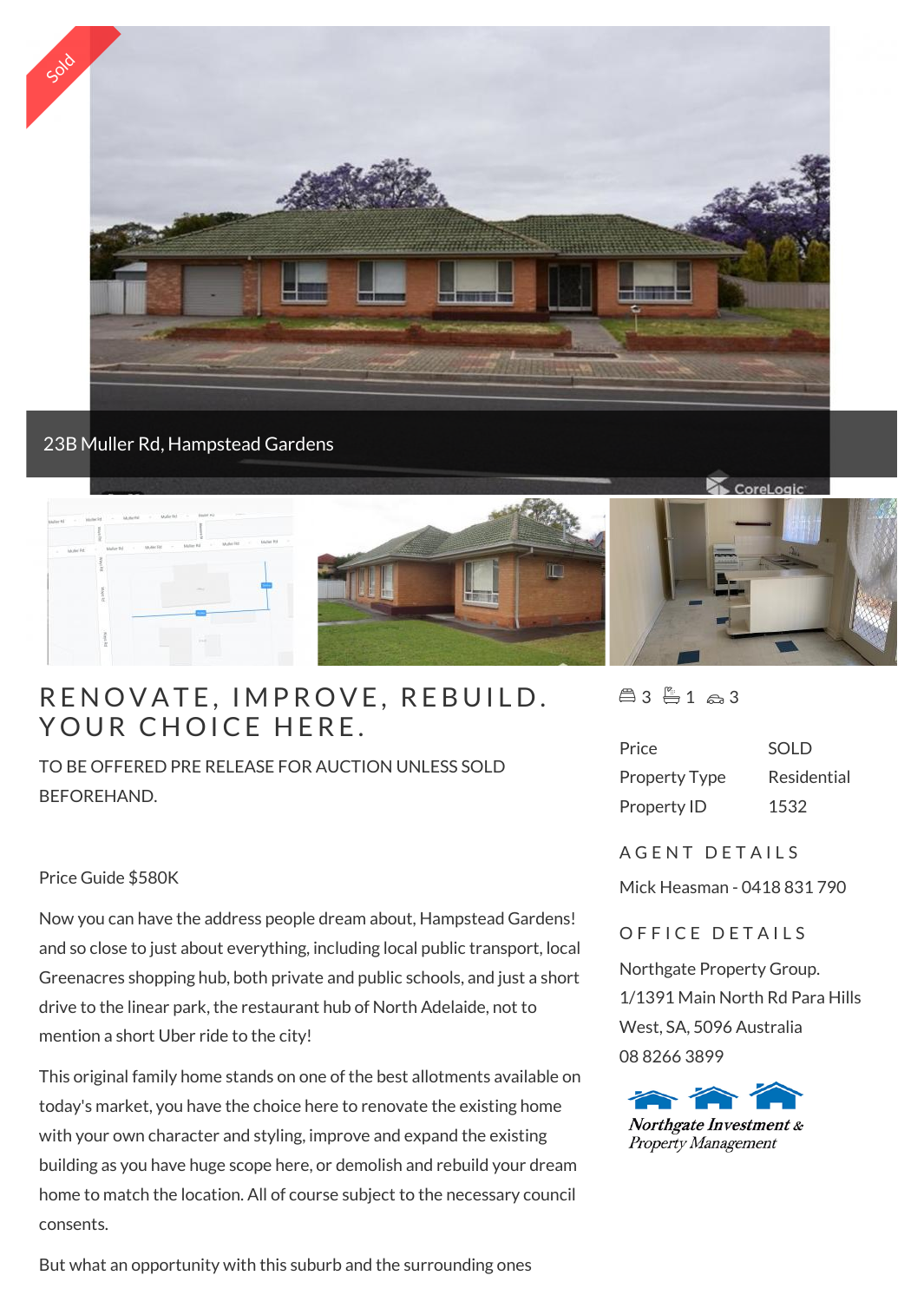

## 23B Muller Rd, Hampstead Gardens



# RENOVATE, IMPROVE, F<br>YOUR CHOICE HERE.

TO BE OFFERED PRE RELEASE FOR AUCTION UNLESS SOLD BEFOREHAND.

#### Price Guide \$580K

Now you can have the address people dream about, Hampstead Gardens! and so close to just about everything, including local public transport, local Greenacres shopping hub, both private and public schools, and just a short drive to the linear park, the restaurant hub of North Adelaide, not to mention a short Uber ride to the city!

This original family home stands on one of the best allotments available on today's market, you have the choice here to renovate the existing home with your own character and styling, improve and expand the existing building as you have huge scope here, or demolish and rebuild your dream home to match the location. All of course subject to the necessary council consents.

But what an opportunity with this suburb and the surrounding ones

 $43 + 1 \approx 3$ 

| Price                | SOLD        |
|----------------------|-------------|
| <b>Property Type</b> | Residential |
| Property ID          | 1532        |

#### A G F N T D F T A I I S

Mick Heasman - 0418 831 790

### OFFICE DETAILS

Northgate Property Group. 1/1391 Main North Rd Para Hills West, SA, 5096 Australia 08 8266 3899